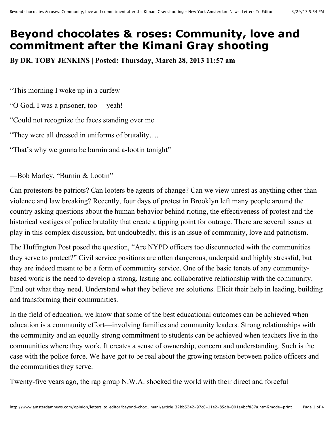## **Beyond chocolates & roses: Community, love and commitment after the Kimani Gray shooting**

**By DR. TOBY JENKINS | Posted: Thursday, March 28, 2013 11:57 am**

"This morning I woke up in a curfew

"O God, I was a prisoner, too —yeah!

"Could not recognize the faces standing over me

"They were all dressed in uniforms of brutality….

"That's why we gonna be burnin and a-lootin tonight"

—Bob Marley, "Burnin & Lootin"

Can protestors be patriots? Can looters be agents of change? Can we view unrest as anything other than violence and law breaking? Recently, four days of protest in Brooklyn left many people around the country asking questions about the human behavior behind rioting, the effectiveness of protest and the historical vestiges of police brutality that create a tipping point for outrage. There are several issues at play in this complex discussion, but undoubtedly, this is an issue of community, love and patriotism.

The Huffington Post posed the question, "Are NYPD officers too disconnected with the communities they serve to protect?" Civil service positions are often dangerous, underpaid and highly stressful, but they are indeed meant to be a form of community service. One of the basic tenets of any communitybased work is the need to develop a strong, lasting and collaborative relationship with the community. Find out what they need. Understand what they believe are solutions. Elicit their help in leading, building and transforming their communities.

In the field of education, we know that some of the best educational outcomes can be achieved when education is a community effort—involving families and community leaders. Strong relationships with the community and an equally strong commitment to students can be achieved when teachers live in the communities where they work. It creates a sense of ownership, concern and understanding. Such is the case with the police force. We have got to be real about the growing tension between police officers and the communities they serve.

Twenty-five years ago, the rap group N.W.A. shocked the world with their direct and forceful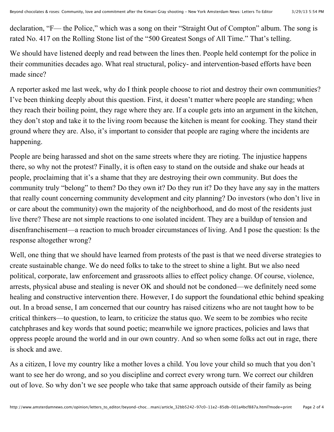declaration, "F— the Police," which was a song on their "Straight Out of Compton" album. The song is rated No. 417 on the Rolling Stone list of the "500 Greatest Songs of All Time." That's telling.

We should have listened deeply and read between the lines then. People held contempt for the police in their communities decades ago. What real structural, policy- and intervention-based efforts have been made since?

A reporter asked me last week, why do I think people choose to riot and destroy their own communities? I've been thinking deeply about this question. First, it doesn't matter where people are standing; when they reach their boiling point, they rage where they are. If a couple gets into an argument in the kitchen, they don't stop and take it to the living room because the kitchen is meant for cooking. They stand their ground where they are. Also, it's important to consider that people are raging where the incidents are happening.

People are being harassed and shot on the same streets where they are rioting. The injustice happens there, so why not the protest? Finally, it is often easy to stand on the outside and shake our heads at people, proclaiming that it's a shame that they are destroying their own community. But does the community truly "belong" to them? Do they own it? Do they run it? Do they have any say in the matters that really count concerning community development and city planning? Do investors (who don't live in or care about the community) own the majority of the neighborhood, and do most of the residents just live there? These are not simple reactions to one isolated incident. They are a buildup of tension and disenfranchisement—a reaction to much broader circumstances of living. And I pose the question: Is the response altogether wrong?

Well, one thing that we should have learned from protests of the past is that we need diverse strategies to create sustainable change. We do need folks to take to the street to shine a light. But we also need political, corporate, law enforcement and grassroots allies to effect policy change. Of course, violence, arrests, physical abuse and stealing is never OK and should not be condoned—we definitely need some healing and constructive intervention there. However, I do support the foundational ethic behind speaking out. In a broad sense, I am concerned that our country has raised citizens who are not taught how to be critical thinkers—to question, to learn, to criticize the status quo. We seem to be zombies who recite catchphrases and key words that sound poetic; meanwhile we ignore practices, policies and laws that oppress people around the world and in our own country. And so when some folks act out in rage, there is shock and awe.

As a citizen, I love my country like a mother loves a child. You love your child so much that you don't want to see her do wrong, and so you discipline and correct every wrong turn. We correct our children out of love. So why don't we see people who take that same approach outside of their family as being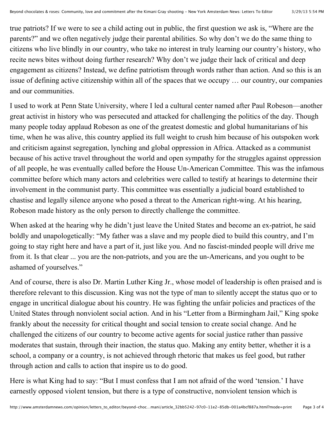true patriots? If we were to see a child acting out in public, the first question we ask is, "Where are the parents?" and we often negatively judge their parental abilities. So why don't we do the same thing to citizens who live blindly in our country, who take no interest in truly learning our country's history, who recite news bites without doing further research? Why don't we judge their lack of critical and deep engagement as citizens? Instead, we define patriotism through words rather than action. And so this is an issue of defining active citizenship within all of the spaces that we occupy … our country, our companies and our communities.

I used to work at Penn State University, where I led a cultural center named after Paul Robeson—another great activist in history who was persecuted and attacked for challenging the politics of the day. Though many people today applaud Robeson as one of the greatest domestic and global humanitarians of his time, when he was alive, this country applied its full weight to crush him because of his outspoken work and criticism against segregation, lynching and global oppression in Africa. Attacked as a communist because of his active travel throughout the world and open sympathy for the struggles against oppression of all people, he was eventually called before the House Un-American Committee. This was the infamous committee before which many actors and celebrities were called to testify at hearings to determine their involvement in the communist party. This committee was essentially a judicial board established to chastise and legally silence anyone who posed a threat to the American right-wing. At his hearing, Robeson made history as the only person to directly challenge the committee.

When asked at the hearing why he didn't just leave the United States and become an ex-patriot, he said boldly and unapologetically: "My father was a slave and my people died to build this country, and I'm going to stay right here and have a part of it, just like you. And no fascist-minded people will drive me from it. Is that clear ... you are the non-patriots, and you are the un-Americans, and you ought to be ashamed of yourselves."

And of course, there is also Dr. Martin Luther King Jr., whose model of leadership is often praised and is therefore relevant to this discussion. King was not the type of man to silently accept the status quo or to engage in uncritical dialogue about his country. He was fighting the unfair policies and practices of the United States through nonviolent social action. And in his "Letter from a Birmingham Jail," King spoke frankly about the necessity for critical thought and social tension to create social change. And he challenged the citizens of our country to become active agents for social justice rather than passive moderates that sustain, through their inaction, the status quo. Making any entity better, whether it is a school, a company or a country, is not achieved through rhetoric that makes us feel good, but rather through action and calls to action that inspire us to do good.

Here is what King had to say: "But I must confess that I am not afraid of the word 'tension.' I have earnestly opposed violent tension, but there is a type of constructive, nonviolent tension which is